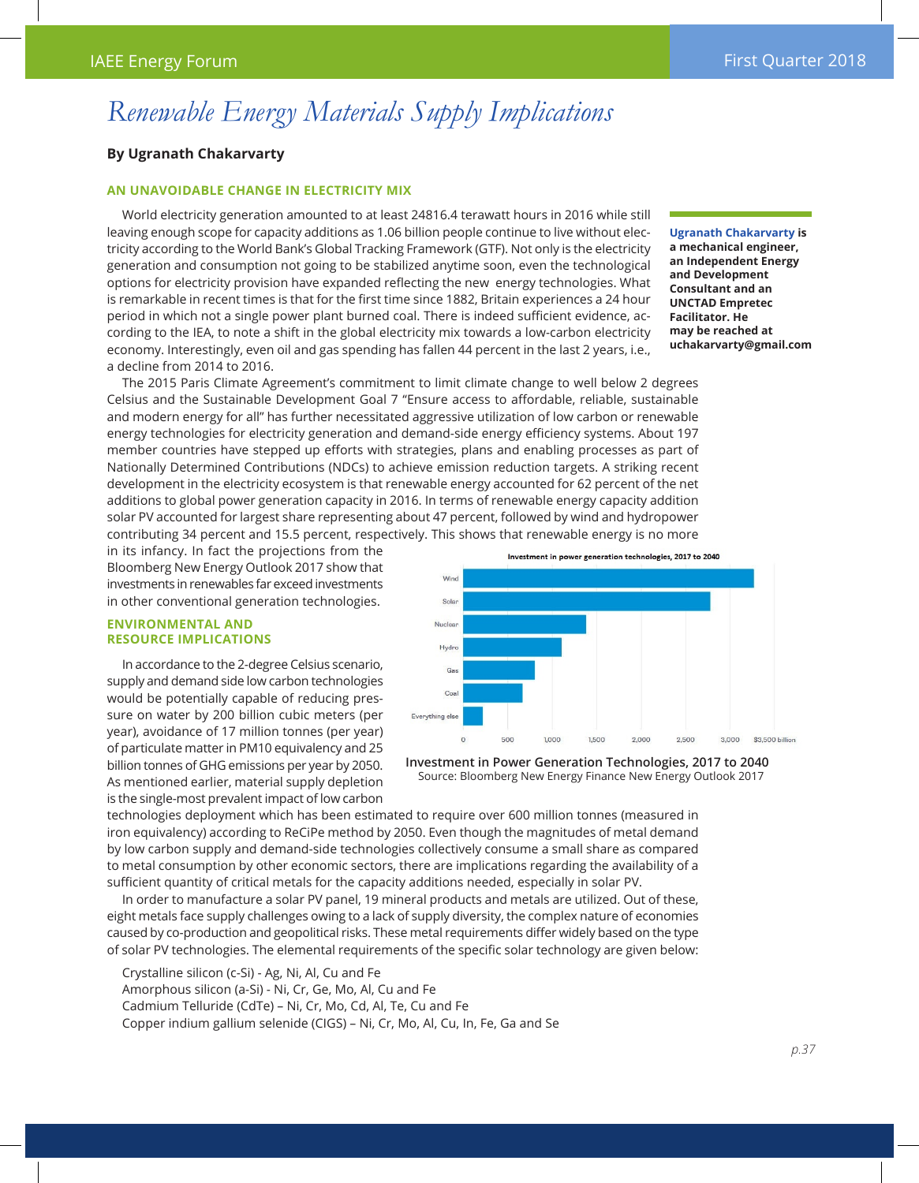# *Renewable Energy Materials Supply Implications*

# **By Ugranath Chakarvarty**

## **An unavoidable change in electricity mix**

World electricity generation amounted to at least 24816.4 terawatt hours in 2016 while still leaving enough scope for capacity additions as 1.06 billion people continue to live without electricity according to the World Bank's Global Tracking Framework (GTF). Not only is the electricity generation and consumption not going to be stabilized anytime soon, even the technological options for electricity provision have expanded reflecting the new energy technologies. What is remarkable in recent times is that for the first time since 1882, Britain experiences a 24 hour period in which not a single power plant burned coal. There is indeed sufficient evidence, according to the IEA, to note a shift in the global electricity mix towards a low-carbon electricity economy. Interestingly, even oil and gas spending has fallen 44 percent in the last 2 years, i.e., a decline from 2014 to 2016.

**Ugranath Chakarvarty is a mechanical engineer, an Independent Energy and Development Consultant and an UNCTAD Empretec Facilitator. He may be reached at uchakarvarty@gmail.com**

The 2015 Paris Climate Agreement's commitment to limit climate change to well below 2 degrees Celsius and the Sustainable Development Goal 7 "Ensure access to affordable, reliable, sustainable and modern energy for all" has further necessitated aggressive utilization of low carbon or renewable energy technologies for electricity generation and demand-side energy efficiency systems. About 197 member countries have stepped up efforts with strategies, plans and enabling processes as part of Nationally Determined Contributions (NDCs) to achieve emission reduction targets. A striking recent development in the electricity ecosystem is that renewable energy accounted for 62 percent of the net additions to global power generation capacity in 2016. In terms of renewable energy capacity addition solar PV accounted for largest share representing about 47 percent, followed by wind and hydropower contributing 34 percent and 15.5 percent, respectively. This shows that renewable energy is no more

in its infancy. In fact the projections from the Bloomberg New Energy Outlook 2017 show that investments in renewables far exceed investments in other conventional generation technologies.

#### **Environmental and Resource Implications**

In accordance to the 2-degree Celsius scenario, supply and demand side low carbon technologies would be potentially capable of reducing pressure on water by 200 billion cubic meters (per year), avoidance of 17 million tonnes (per year) of particulate matter in PM10 equivalency and 25 billion tonnes of GHG emissions per year by 2050. As mentioned earlier, material supply depletion is the single-most prevalent impact of low carbon



**Investment in Power Generation Technologies, 2017 to 2040** Source: Bloomberg New Energy Finance New Energy Outlook 2017

technologies deployment which has been estimated to require over 600 million tonnes (measured in iron equivalency) according to ReCiPe method by 2050. Even though the magnitudes of metal demand by low carbon supply and demand-side technologies collectively consume a small share as compared to metal consumption by other economic sectors, there are implications regarding the availability of a sufficient quantity of critical metals for the capacity additions needed, especially in solar PV.

In order to manufacture a solar PV panel, 19 mineral products and metals are utilized. Out of these, eight metals face supply challenges owing to a lack of supply diversity, the complex nature of economies caused by co-production and geopolitical risks. These metal requirements differ widely based on the type of solar PV technologies. The elemental requirements of the specific solar technology are given below:

Crystalline silicon (c-Si) - Ag, Ni, Al, Cu and Fe Amorphous silicon (a-Si) - Ni, Cr, Ge, Mo, Al, Cu and Fe Cadmium Telluride (CdTe) – Ni, Cr, Mo, Cd, Al, Te, Cu and Fe Copper indium gallium selenide (CIGS) – Ni, Cr, Mo, Al, Cu, In, Fe, Ga and Se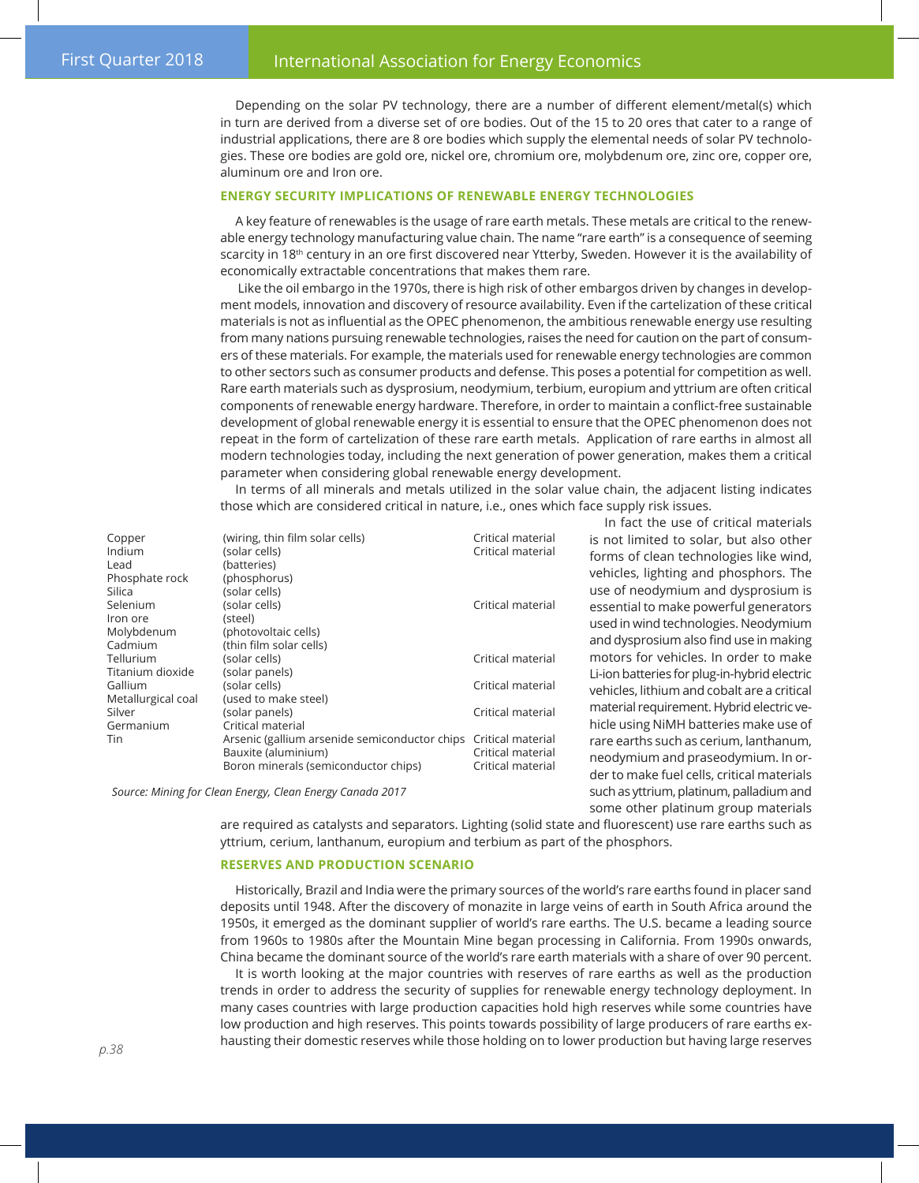Depending on the solar PV technology, there are a number of different element/metal(s) which in turn are derived from a diverse set of ore bodies. Out of the 15 to 20 ores that cater to a range of industrial applications, there are 8 ore bodies which supply the elemental needs of solar PV technologies. These ore bodies are gold ore, nickel ore, chromium ore, molybdenum ore, zinc ore, copper ore, aluminum ore and Iron ore.

# **Energy Security implications of renewable energy technologies**

A key feature of renewables is the usage of rare earth metals. These metals are critical to the renewable energy technology manufacturing value chain. The name "rare earth" is a consequence of seeming scarcity in 18<sup>th</sup> century in an ore first discovered near Ytterby, Sweden. However it is the availability of economically extractable concentrations that makes them rare.

 Like the oil embargo in the 1970s, there is high risk of other embargos driven by changes in development models, innovation and discovery of resource availability. Even if the cartelization of these critical materials is not as influential as the OPEC phenomenon, the ambitious renewable energy use resulting from many nations pursuing renewable technologies, raises the need for caution on the part of consumers of these materials. For example, the materials used for renewable energy technologies are common to other sectors such as consumer products and defense. This poses a potential for competition as well. Rare earth materials such as dysprosium, neodymium, terbium, europium and yttrium are often critical components of renewable energy hardware. Therefore, in order to maintain a conflict-free sustainable development of global renewable energy it is essential to ensure that the OPEC phenomenon does not repeat in the form of cartelization of these rare earth metals. Application of rare earths in almost all modern technologies today, including the next generation of power generation, makes them a critical parameter when considering global renewable energy development.

In terms of all minerals and metals utilized in the solar value chain, the adjacent listing indicates those which are considered critical in nature, i.e., ones which face supply risk issues.

Copper (wiring, thin film solar cells) Critical material<br>
(solar cells) Critical material<br>
Critical material Lead (batteries) Phosphate rock (phosphorus) Silica (solar cells) Iron ore (steel) Titanium dioxide (solar panels)

(solar cells) and increase contracts contract cells (solar cells) Selenium (solar cells) Critical material Critical material Molybdenum (photovoltaic cells) Cadmium (thin film solar cells) Tellurium (solar cells) Critical material Gallium (solar cells) Critical material Critical material Metallurgical coal (used to make steel) Silver (solar panels) Silver Critical material Germanium Critical material Tin Arsenic (gallium arsenide semiconductor chips Critical material Bauxite (aluminium) Critical material Boron minerals (semiconductor chips) Critical material

In fact the use of critical materials is not limited to solar, but also other forms of clean technologies like wind, vehicles, lighting and phosphors. The use of neodymium and dysprosium is essential to make powerful generators used in wind technologies. Neodymium and dysprosium also find use in making motors for vehicles. In order to make Li-ion batteries for plug-in-hybrid electric vehicles, lithium and cobalt are a critical material requirement. Hybrid electric vehicle using NiMH batteries make use of rare earths such as cerium, lanthanum, neodymium and praseodymium. In order to make fuel cells, critical materials such as yttrium, platinum, palladium and some other platinum group materials

 *Source: Mining for Clean Energy, Clean Energy Canada 2017*

are required as catalysts and separators. Lighting (solid state and fluorescent) use rare earths such as yttrium, cerium, lanthanum, europium and terbium as part of the phosphors.

### **Reserves and Production scenario**

Historically, Brazil and India were the primary sources of the world's rare earths found in placer sand deposits until 1948. After the discovery of monazite in large veins of earth in South Africa around the 1950s, it emerged as the dominant supplier of world's rare earths. The U.S. became a leading source from 1960s to 1980s after the Mountain Mine began processing in California. From 1990s onwards, China became the dominant source of the world's rare earth materials with a share of over 90 percent.

It is worth looking at the major countries with reserves of rare earths as well as the production trends in order to address the security of supplies for renewable energy technology deployment. In many cases countries with large production capacities hold high reserves while some countries have low production and high reserves. This points towards possibility of large producers of rare earths exhausting their domestic reserves while those holding on to lower production but having large reserves